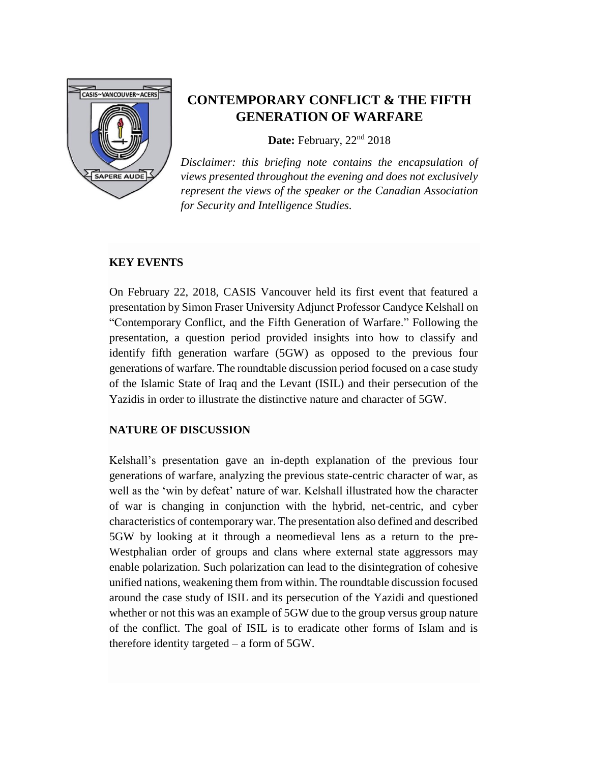

# **CONTEMPORARY CONFLICT & THE FIFTH GENERATION OF WARFARE**

**Date:** February, 22nd 2018

*Disclaimer: this briefing note contains the encapsulation of views presented throughout the evening and does not exclusively represent the views of the speaker or the Canadian Association for Security and Intelligence Studies.*

#### **KEY EVENTS**

On February 22, 2018, CASIS Vancouver held its first event that featured a presentation by Simon Fraser University Adjunct Professor Candyce Kelshall on "Contemporary Conflict, and the Fifth Generation of Warfare." Following the presentation, a question period provided insights into how to classify and identify fifth generation warfare (5GW) as opposed to the previous four generations of warfare. The roundtable discussion period focused on a case study of the Islamic State of Iraq and the Levant (ISIL) and their persecution of the Yazidis in order to illustrate the distinctive nature and character of 5GW.

### **NATURE OF DISCUSSION**

Kelshall's presentation gave an in-depth explanation of the previous four generations of warfare, analyzing the previous state-centric character of war, as well as the 'win by defeat' nature of war. Kelshall illustrated how the character of war is changing in conjunction with the hybrid, net-centric, and cyber characteristics of contemporary war. The presentation also defined and described 5GW by looking at it through a neomedieval lens as a return to the pre-Westphalian order of groups and clans where external state aggressors may enable polarization. Such polarization can lead to the disintegration of cohesive unified nations, weakening them from within. The roundtable discussion focused around the case study of ISIL and its persecution of the Yazidi and questioned whether or not this was an example of 5GW due to the group versus group nature of the conflict. The goal of ISIL is to eradicate other forms of Islam and is therefore identity targeted – a form of 5GW.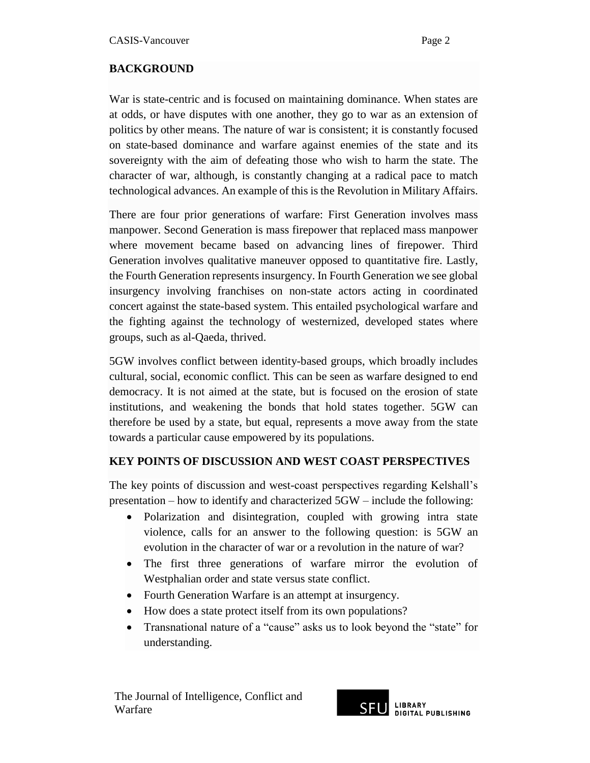## **BACKGROUND**

War is state-centric and is focused on maintaining dominance. When states are at odds, or have disputes with one another, they go to war as an extension of politics by other means. The nature of war is consistent; it is constantly focused on state-based dominance and warfare against enemies of the state and its sovereignty with the aim of defeating those who wish to harm the state. The character of war, although, is constantly changing at a radical pace to match technological advances. An example of this is the Revolution in Military Affairs.

There are four prior generations of warfare: First Generation involves mass manpower. Second Generation is mass firepower that replaced mass manpower where movement became based on advancing lines of firepower. Third Generation involves qualitative maneuver opposed to quantitative fire. Lastly, the Fourth Generation represents insurgency. In Fourth Generation we see global insurgency involving franchises on non-state actors acting in coordinated concert against the state-based system. This entailed psychological warfare and the fighting against the technology of westernized, developed states where groups, such as al-Qaeda, thrived.

5GW involves conflict between identity-based groups, which broadly includes cultural, social, economic conflict. This can be seen as warfare designed to end democracy. It is not aimed at the state, but is focused on the erosion of state institutions, and weakening the bonds that hold states together. 5GW can therefore be used by a state, but equal, represents a move away from the state towards a particular cause empowered by its populations.

### **KEY POINTS OF DISCUSSION AND WEST COAST PERSPECTIVES**

The key points of discussion and west-coast perspectives regarding Kelshall's presentation – how to identify and characterized 5GW – include the following:

- Polarization and disintegration, coupled with growing intra state violence, calls for an answer to the following question: is 5GW an evolution in the character of war or a revolution in the nature of war?
- The first three generations of warfare mirror the evolution of Westphalian order and state versus state conflict.
- Fourth Generation Warfare is an attempt at insurgency.
- How does a state protect itself from its own populations?
- Transnational nature of a "cause" asks us to look beyond the "state" for understanding.

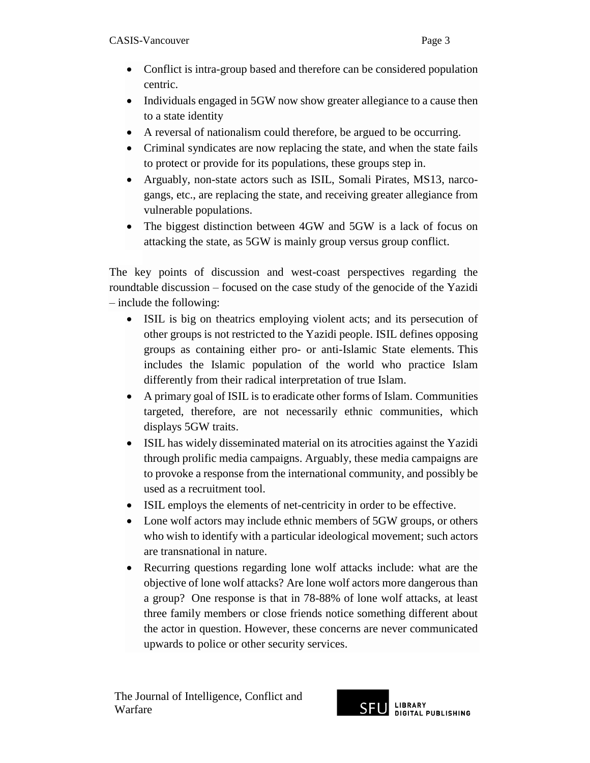- Conflict is intra-group based and therefore can be considered population centric.
- Individuals engaged in 5GW now show greater allegiance to a cause then to a state identity
- A reversal of nationalism could therefore, be argued to be occurring.
- Criminal syndicates are now replacing the state, and when the state fails to protect or provide for its populations, these groups step in.
- Arguably, non-state actors such as ISIL, Somali Pirates, MS13, narcogangs, etc., are replacing the state, and receiving greater allegiance from vulnerable populations.
- The biggest distinction between 4GW and 5GW is a lack of focus on attacking the state, as 5GW is mainly group versus group conflict.

The key points of discussion and west-coast perspectives regarding the roundtable discussion – focused on the case study of the genocide of the Yazidi – include the following:

- ISIL is big on theatrics employing violent acts; and its persecution of other groups is not restricted to the Yazidi people. ISIL defines opposing groups as containing either pro- or anti-Islamic State elements. This includes the Islamic population of the world who practice Islam differently from their radical interpretation of true Islam.
- A primary goal of ISIL is to eradicate other forms of Islam. Communities targeted, therefore, are not necessarily ethnic communities, which displays 5GW traits.
- ISIL has widely disseminated material on its atrocities against the Yazidi through prolific media campaigns. Arguably, these media campaigns are to provoke a response from the international community, and possibly be used as a recruitment tool.
- ISIL employs the elements of net-centricity in order to be effective.
- Lone wolf actors may include ethnic members of 5GW groups, or others who wish to identify with a particular ideological movement; such actors are transnational in nature.
- Recurring questions regarding lone wolf attacks include: what are the objective of lone wolf attacks? Are lone wolf actors more dangerous than a group? One response is that in 78-88% of lone wolf attacks, at least three family members or close friends notice something different about the actor in question. However, these concerns are never communicated upwards to police or other security services.